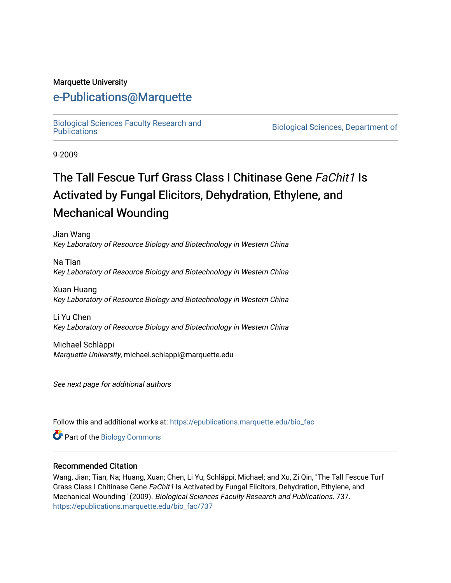#### Marquette University

## [e-Publications@Marquette](https://epublications.marquette.edu/)

[Biological Sciences Faculty Research and](https://epublications.marquette.edu/bio_fac) 

Biological Sciences, Department of

9-2009

# The Tall Fescue Turf Grass Class I Chitinase Gene FaChit1 Is Activated by Fungal Elicitors, Dehydration, Ethylene, and Mechanical Wounding

Jian Wang Key Laboratory of Resource Biology and Biotechnology in Western China

Na Tian Key Laboratory of Resource Biology and Biotechnology in Western China

Xuan Huang Key Laboratory of Resource Biology and Biotechnology in Western China

Li Yu Chen Key Laboratory of Resource Biology and Biotechnology in Western China

Michael Schläppi Marquette University, michael.schlappi@marquette.edu

See next page for additional authors

Follow this and additional works at: [https://epublications.marquette.edu/bio\\_fac](https://epublications.marquette.edu/bio_fac?utm_source=epublications.marquette.edu%2Fbio_fac%2F737&utm_medium=PDF&utm_campaign=PDFCoverPages) 

Part of the [Biology Commons](http://network.bepress.com/hgg/discipline/41?utm_source=epublications.marquette.edu%2Fbio_fac%2F737&utm_medium=PDF&utm_campaign=PDFCoverPages) 

#### Recommended Citation

Wang, Jian; Tian, Na; Huang, Xuan; Chen, Li Yu; Schläppi, Michael; and Xu, Zi Qin, "The Tall Fescue Turf Grass Class I Chitinase Gene FaChit1 Is Activated by Fungal Elicitors, Dehydration, Ethylene, and Mechanical Wounding" (2009). Biological Sciences Faculty Research and Publications. 737. [https://epublications.marquette.edu/bio\\_fac/737](https://epublications.marquette.edu/bio_fac/737?utm_source=epublications.marquette.edu%2Fbio_fac%2F737&utm_medium=PDF&utm_campaign=PDFCoverPages)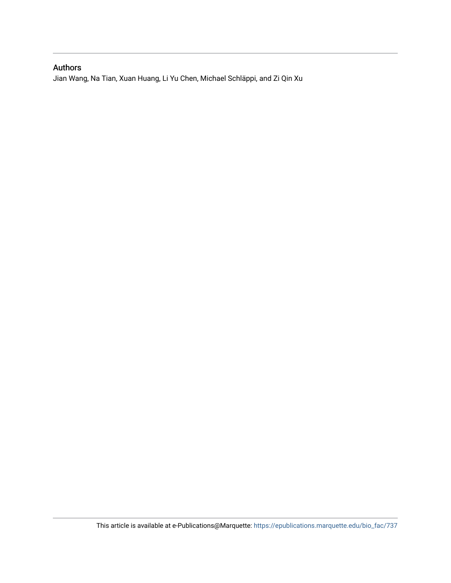#### Authors

Jian Wang, Na Tian, Xuan Huang, Li Yu Chen, Michael Schläppi, and Zi Qin Xu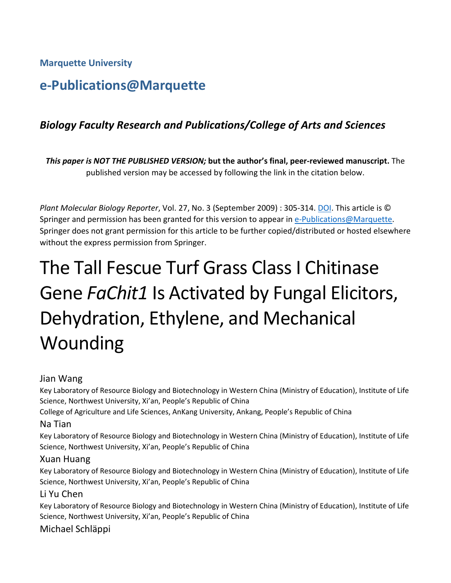**Marquette University**

## **e-Publications@Marquette**

## *Biology Faculty Research and Publications/College of Arts and Sciences*

*This paper is NOT THE PUBLISHED VERSION;* **but the author's final, peer-reviewed manuscript.** The published version may be accessed by following the link in the citation below.

*Plant Molecular Biology Reporter*, Vol. 27, No. 3 (September 2009) : 305-314. [DOI.](https://link.springer.com/article/10.1007%2Fs11105-008-0086-8) This article is © Springer and permission has been granted for this version to appear in [e-Publications@Marquette.](http://epublications.marquette.edu/) Springer does not grant permission for this article to be further copied/distributed or hosted elsewhere without the express permission from Springer.

# The Tall Fescue Turf Grass Class I Chitinase Gene *FaChit1* Is Activated by Fungal Elicitors, Dehydration, Ethylene, and Mechanical Wounding

#### Jian Wang

Key Laboratory of Resource Biology and Biotechnology in Western China (Ministry of Education), Institute of Life Science, Northwest University, Xi'an, People's Republic of China

College of Agriculture and Life Sciences, AnKang University, Ankang, People's Republic of China

#### Na Tian

Key Laboratory of Resource Biology and Biotechnology in Western China (Ministry of Education), Institute of Life Science, Northwest University, Xi'an, People's Republic of China

#### Xuan Huang

Key Laboratory of Resource Biology and Biotechnology in Western China (Ministry of Education), Institute of Life Science, Northwest University, Xi'an, People's Republic of China

#### Li Yu Chen

Key Laboratory of Resource Biology and Biotechnology in Western China (Ministry of Education), Institute of Life Science, Northwest University, Xi'an, People's Republic of China

## Michael Schläppi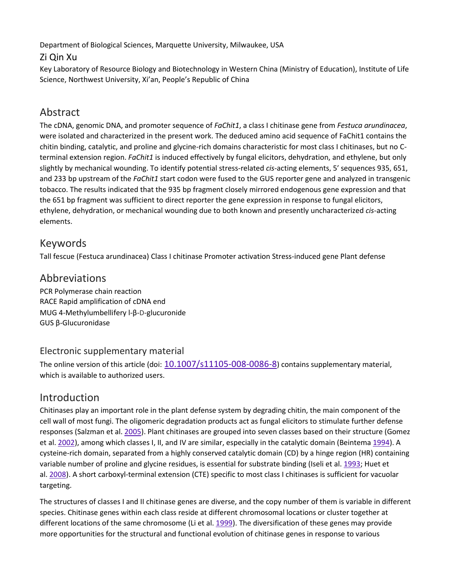Department of Biological Sciences, Marquette University, Milwaukee, USA

## Zi Qin Xu

Key Laboratory of Resource Biology and Biotechnology in Western China (Ministry of Education), Institute of Life Science, Northwest University, Xi'an, People's Republic of China

## Abstract

The cDNA, genomic DNA, and promoter sequence of *FaChit1*, a class I chitinase gene from *Festuca arundinacea*, were isolated and characterized in the present work. The deduced amino acid sequence of FaChit1 contains the chitin binding, catalytic, and proline and glycine-rich domains characteristic for most class I chitinases, but no Cterminal extension region. *FaChit1* is induced effectively by fungal elicitors, dehydration, and ethylene, but only slightly by mechanical wounding. To identify potential stress-related *cis*-acting elements, 5′ sequences 935, 651, and 233 bp upstream of the *FaChit1* start codon were fused to the GUS reporter gene and analyzed in transgenic tobacco. The results indicated that the 935 bp fragment closely mirrored endogenous gene expression and that the 651 bp fragment was sufficient to direct reporter the gene expression in response to fungal elicitors, ethylene, dehydration, or mechanical wounding due to both known and presently uncharacterized *cis*-acting elements.

## Keywords

Tall fescue (Festuca arundinacea) Class I chitinase Promoter activation Stress-induced gene Plant defense

## Abbreviations

PCR Polymerase chain reaction RACE Rapid amplification of cDNA end MUG 4-Methylumbellifery l-β-D-glucuronide GUS β-Glucuronidase

## Electronic supplementary material

The online version of this article (doi:  $10.1007/s11105-008-0086-8$  $10.1007/s11105-008-0086-8$ ) contains supplementary material, which is available to authorized users.

## Introduction

Chitinases play an important role in the plant defense system by degrading chitin, the main component of the cell wall of most fungi. The oligomeric degradation products act as fungal elicitors to stimulate further defense responses (Salzman et al. [2005\)](https://link.springer.com/article/10.1007%2Fs11105-008-0086-8#CR34). Plant chitinases are grouped into seven classes based on their structure (Gomez et al. [2002\)](https://link.springer.com/article/10.1007%2Fs11105-008-0086-8#CR17), among which classes I, II, and IV are similar, especially in the catalytic domain (Beintema [1994\)](https://link.springer.com/article/10.1007%2Fs11105-008-0086-8#CR2). A cysteine-rich domain, separated from a highly conserved catalytic domain (CD) by a hinge region (HR) containing variable number of proline and glycine residues, is essential for substrate binding (Iseli et al. [1993;](https://link.springer.com/article/10.1007%2Fs11105-008-0086-8#CR21) Huet et al. [2008\)](https://link.springer.com/article/10.1007%2Fs11105-008-0086-8#CR20). A short carboxyl-terminal extension (CTE) specific to most class I chitinases is sufficient for vacuolar targeting.

The structures of classes I and II chitinase genes are diverse, and the copy number of them is variable in different species. Chitinase genes within each class reside at different chromosomal locations or cluster together at different locations of the same chromosome (Li et al. [1999\)](https://link.springer.com/article/10.1007%2Fs11105-008-0086-8#CR23). The diversification of these genes may provide more opportunities for the structural and functional evolution of chitinase genes in response to various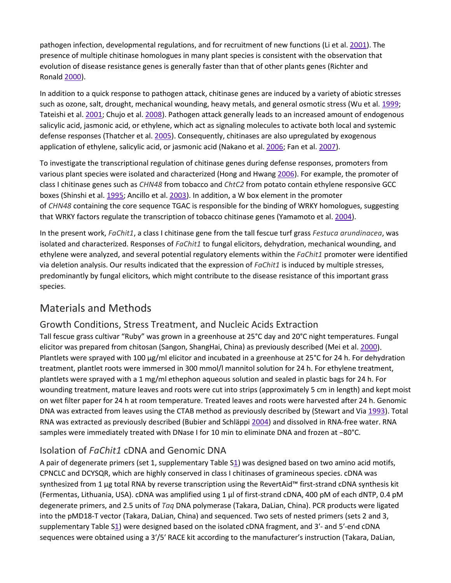pathogen infection, developmental regulations, and for recruitment of new functions (Li et al. [2001\)](https://link.springer.com/article/10.1007%2Fs11105-008-0086-8#CR24). The presence of multiple chitinase homologues in many plant species is consistent with the observation that evolution of disease resistance genes is generally faster than that of other plants genes (Richter and Ronald [2000\)](https://link.springer.com/article/10.1007%2Fs11105-008-0086-8#CR31).

In addition to a quick response to pathogen attack, chitinase genes are induced by a variety of abiotic stresses such as ozone, salt, drought, mechanical wounding, heavy metals, and general osmotic stress (Wu et al. [1999;](https://link.springer.com/article/10.1007%2Fs11105-008-0086-8#CR44) Tateishi et al. [2001;](https://link.springer.com/article/10.1007%2Fs11105-008-0086-8#CR40) Chujo et al. [2008\)](https://link.springer.com/article/10.1007%2Fs11105-008-0086-8#CR11). Pathogen attack generally leads to an increased amount of endogenous salicylic acid, jasmonic acid, or ethylene, which act as signaling molecules to activate both local and systemic defense responses (Thatcher et al. [2005\)](https://link.springer.com/article/10.1007%2Fs11105-008-0086-8#CR41). Consequently, chitinases are also upregulated by exogenous application of ethylene, salicylic acid, or jasmonic acid (Nakano et al. [2006](https://link.springer.com/article/10.1007%2Fs11105-008-0086-8#CR26); Fan et al. [2007\)](https://link.springer.com/article/10.1007%2Fs11105-008-0086-8#CR14).

To investigate the transcriptional regulation of chitinase genes during defense responses, promoters from various plant species were isolated and characterized (Hong and Hwang [2006](https://link.springer.com/article/10.1007%2Fs11105-008-0086-8#CR19)). For example, the promoter of class I chitinase genes such as *CHN48* from tobacco and *ChtC2* from potato contain ethylene responsive GCC boxes (Shinshi et al. [1995;](https://link.springer.com/article/10.1007%2Fs11105-008-0086-8#CR36) Ancillo et al. [2003\)](https://link.springer.com/article/10.1007%2Fs11105-008-0086-8#CR1). In addition, a W box element in the promoter of *CHN48* containing the core sequence TGAC is responsible for the binding of WRKY homologues, suggesting that WRKY factors regulate the transcription of tobacco chitinase genes (Yamamoto et al. [2004\)](https://link.springer.com/article/10.1007%2Fs11105-008-0086-8#CR47).

In the present work, *FaChit1*, a class I chitinase gene from the tall fescue turf grass *Festuca arundinacea*, was isolated and characterized. Responses of *FaChit1* to fungal elicitors, dehydration, mechanical wounding, and ethylene were analyzed, and several potential regulatory elements within the *FaChit1* promoter were identified via deletion analysis. Our results indicated that the expression of *FaChit1* is induced by multiple stresses, predominantly by fungal elicitors, which might contribute to the disease resistance of this important grass species.

## Materials and Methods

## Growth Conditions, Stress Treatment, and Nucleic Acids Extraction

Tall fescue grass cultivar "Ruby" was grown in a greenhouse at 25°C day and 20°C night temperatures. Fungal elicitor was prepared from chitosan (Sangon, ShangHai, China) as previously described (Mei et al. [2000\)](https://link.springer.com/article/10.1007%2Fs11105-008-0086-8#CR25). Plantlets were sprayed with 100 μg/ml elicitor and incubated in a greenhouse at 25°C for 24 h. For dehydration treatment, plantlet roots were immersed in 300 mmol/l mannitol solution for 24 h. For ethylene treatment, plantlets were sprayed with a 1 mg/ml ethephon aqueous solution and sealed in plastic bags for 24 h. For wounding treatment, mature leaves and roots were cut into strips (approximately 5 cm in length) and kept moist on wet filter paper for 24 h at room temperature. Treated leaves and roots were harvested after 24 h. Genomic DNA was extracted from leaves using the CTAB method as previously described by (Stewart and Via [1993\)](https://link.springer.com/article/10.1007%2Fs11105-008-0086-8#CR38). Total RNA was extracted as previously described (Bubier and Schläppi [2004\)](https://link.springer.com/article/10.1007%2Fs11105-008-0086-8#CR5) and dissolved in RNA-free water. RNA samples were immediately treated with DNase I for 10 min to eliminate DNA and frozen at −80°C.

#### Isolation of *FaChit1* cDNA and Genomic DNA

A pair of degenerate primers (set 1, supplementary Table [S1\)](https://link.springer.com/article/10.1007%2Fs11105-008-0086-8#MOESM1) was designed based on two amino acid motifs, CPNCLC and DCYSQR, which are highly conserved in class I chitinases of gramineous species. cDNA was synthesized from 1 μg total RNA by reverse transcription using the RevertAid™ first-strand cDNA synthesis kit (Fermentas, Lithuania, USA). cDNA was amplified using 1 μl of first-strand cDNA, 400 pM of each dNTP, 0.4 pM degenerate primers, and 2.5 units of *Taq* DNA polymerase (Takara, DaLian, China). PCR products were ligated into the pMD18-T vector (Takara, DaLian, China) and sequenced. Two sets of nested primers (sets 2 and 3, supplementary Table [S1](https://link.springer.com/article/10.1007%2Fs11105-008-0086-8#MOESM1)) were designed based on the isolated cDNA fragment, and 3′- and 5′-end cDNA sequences were obtained using a 3′/5′ RACE kit according to the manufacturer's instruction (Takara, DaLian,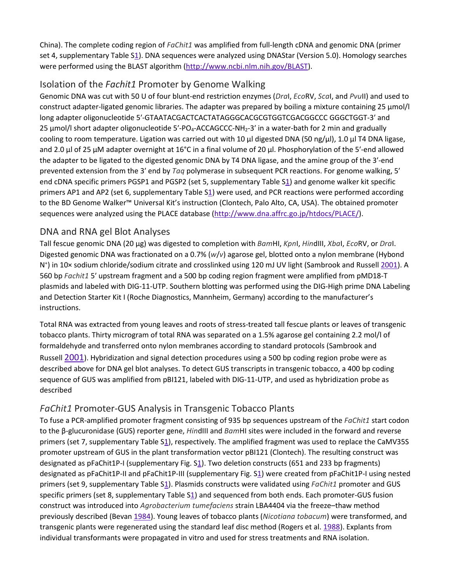China). The complete coding region of *FaChit1* was amplified from full-length cDNA and genomic DNA (primer set 4, supplementary Table [S1\)](https://link.springer.com/article/10.1007%2Fs11105-008-0086-8#MOESM1). DNA sequences were analyzed using DNAStar (Version 5.0). Homology searches were performed using the BLAST algorithm [\(http://www.ncbi.nlm.nih.gov/BLAST\)](http://www.ncbi.nlm.nih.gov/BLAST).

## Isolation of the *Fachit1* Promoter by Genome Walking

Genomic DNA was cut with 50 U of four blunt-end restriction enzymes (*Dra*I, *Eco*RV, *Sca*I, and *Pvu*II) and used to construct adapter-ligated genomic libraries. The adapter was prepared by boiling a mixture containing 25 μmol/l long adapter oligonucleotide 5′-GTAATACGACTCACTATAGGGCACGCGTGGTCGACGGCCC GGGCTGGT-3′ and 25  $\mu$ mol/l short adapter oligonucleotide 5'-PO<sub>4</sub>-ACCAGCCC-NH<sub>2</sub>-3' in a water-bath for 2 min and gradually cooling to room temperature. Ligation was carried out with 10 μl digested DNA (50 ng/μl), 1.0 μl T4 DNA ligase, and 2.0 μl of 25 μM adapter overnight at 16°C in a final volume of 20 μl. Phosphorylation of the 5′-end allowed the adapter to be ligated to the digested genomic DNA by T4 DNA ligase, and the amine group of the 3′-end prevented extension from the 3′ end by *Taq* polymerase in subsequent PCR reactions. For genome walking, 5′ end cDNA specific primers PGSP1 and PGSP2 (set 5, supplementary Table [S1\)](https://link.springer.com/article/10.1007%2Fs11105-008-0086-8#MOESM1) and genome walker kit specific primers AP1 and AP2 (set 6, supplementary Table S[1\)](https://link.springer.com/article/10.1007%2Fs11105-008-0086-8#MOESM1) were used, and PCR reactions were performed according to the BD Genome Walker™ Universal Kit's instruction (Clontech, Palo Alto, CA, USA). The obtained promoter sequences were analyzed using the PLACE database [\(http://www.dna.affrc.go.jp/htdocs/PLACE/\)](http://www.dna.affrc.go.jp/htdocs/PLACE/).

#### DNA and RNA gel Blot Analyses

Tall fescue genomic DNA (20 μg) was digested to completion with *Bam*HI, *Kpn*I, *Hin*dIII, *Xba*I, *Eco*RV, or *Dra*I. Digested genomic DNA was fractionated on a 0.7% (*w*/*v*) agarose gel, blotted onto a nylon membrane (Hybond N<sup>+</sup>) in 10x sodium chloride/sodium citrate and crosslinked using 120 mJ UV light (Sambrook and Russell [2001\)](https://link.springer.com/article/10.1007%2Fs11105-008-0086-8#CR33). A 560 bp *Fachit1* 5′ upstream fragment and a 500 bp coding region fragment were amplified from pMD18-T plasmids and labeled with DIG-11-UTP. Southern blotting was performed using the DIG-High prime DNA Labeling and Detection Starter Kit I (Roche Diagnostics, Mannheim, Germany) according to the manufacturer's instructions.

Total RNA was extracted from young leaves and roots of stress-treated tall fescue plants or leaves of transgenic tobacco plants. Thirty microgram of total RNA was separated on a 1.5% agarose gel containing 2.2 mol/l of formaldehyde and transferred onto nylon membranes according to standard protocols (Sambrook and Russell [2001\)](https://link.springer.com/article/10.1007%2Fs11105-008-0086-8#CR33). Hybridization and signal detection procedures using a 500 bp coding region probe were as described above for DNA gel blot analyses. To detect GUS transcripts in transgenic tobacco, a 400 bp coding sequence of GUS was amplified from pBI121, labeled with DIG-11-UTP, and used as hybridization probe as described

## *FaChit1* Promoter-GUS Analysis in Transgenic Tobacco Plants

To fuse a PCR-amplified promoter fragment consisting of 935 bp sequences upstream of the *FaChit1* start codon to the β-glucuronidase (GUS) reporter gene, *Hin*dIII and *Bam*HI sites were included in the forward and reverse primers (set 7, supplementary Table [S1\)](https://link.springer.com/article/10.1007%2Fs11105-008-0086-8#MOESM1), respectively. The amplified fragment was used to replace the CaMV35S promoter upstream of GUS in the plant transformation vector pBI121 (Clontech). The resulting construct was designated as pFaChit1P-I (supplementary Fig. [S1](https://link.springer.com/article/10.1007%2Fs11105-008-0086-8#MOESM2)). Two deletion constructs (651 and 233 bp fragments) designated as pFaChit1P-II and pFaChit1P-III (supplementary Fig. [S1\)](https://link.springer.com/article/10.1007%2Fs11105-008-0086-8#MOESM2) were created from pFaChit1P-I using nested primers (set 9, supplementary Table [S1\)](https://link.springer.com/article/10.1007%2Fs11105-008-0086-8#MOESM1). Plasmids constructs were validated using *FaChit1* promoter and GUS specific primers (set 8, supplementary Table [S1\)](https://link.springer.com/article/10.1007%2Fs11105-008-0086-8#MOESM1) and sequenced from both ends. Each promoter-GUS fusion construct was introduced into *Agrobacterium tumefaciens* strain LBA4404 via the freeze–thaw method previously described (Bevan [1984\)](https://link.springer.com/article/10.1007%2Fs11105-008-0086-8#CR3). Young leaves of tobacco plants (*Nicotiana tobacum*) were transformed, and transgenic plants were regenerated using the standard leaf disc method (Rogers et al. [1988\)](https://link.springer.com/article/10.1007%2Fs11105-008-0086-8#CR32). Explants from individual transformants were propagated in vitro and used for stress treatments and RNA isolation.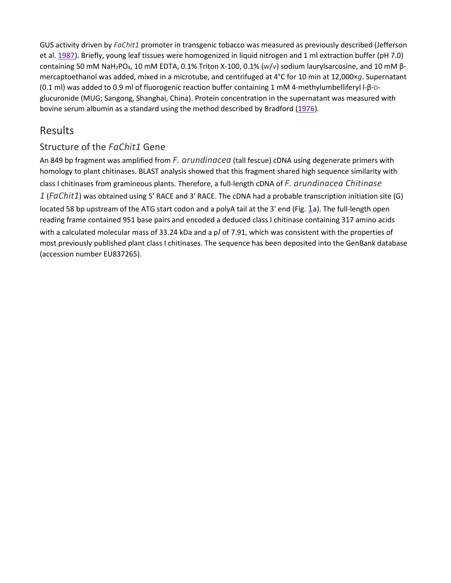GUS activity driven by *FaChit1* promoter in transgenic tobacco was measured as previously described (Jefferson et al. [1987\)](https://link.springer.com/article/10.1007%2Fs11105-008-0086-8#CR22). Briefly, young leaf tissues were homogenized in liquid nitrogen and 1 ml extraction buffer (pH 7.0) containing 50 mM NaH2PO4, 10 mM EDTA, 0.1% Triton X-100, 0.1% (*w*/*v*) sodium laurylsarcosine, and 10 mM βmercaptoethanol was added, mixed in a microtube, and centrifuged at 4°C for 10 min at 12,000×*g*. Supernatant (0.1 ml) was added to 0.9 ml of fluorogenic reaction buffer containing 1 mM 4-methylumbelliferyl l-β-Dglucuronide (MUG; Sangong, Shanghai, China). Protein concentration in the supernatant was measured with bovine serum albumin as a standard using the method described by Bradford ([1976](https://link.springer.com/article/10.1007%2Fs11105-008-0086-8#CR4)).

## Results

## Structure of the *FaChit1* Gene

An 849 bp fragment was amplified from *F. arundinacea* (tall fescue) cDNA using degenerate primers with homology to plant chitinases. BLAST analysis showed that this fragment shared high sequence similarity with class I chitinases from gramineous plants. Therefore, a full-length cDNA of *F. arundinacea Chitinase 1* (*FaChit1*) was obtained using 5′ RACE and 3′ RACE. The cDNA had a probable transcription initiation site (G) located 58 bp upstream of the ATG start codon and a polyA tail at the 3′ end (Fig. [1a](https://link.springer.com/article/10.1007%2Fs11105-008-0086-8#Fig1)). The full-length open reading frame contained 951 base pairs and encoded a deduced class I chitinase containing 317 amino acids with a calculated molecular mass of 33.24 kDa and a p*I* of 7.91, which was consistent with the properties of most previously published plant class I chitinases. The sequence has been deposited into the GenBank database (accession number EU837265).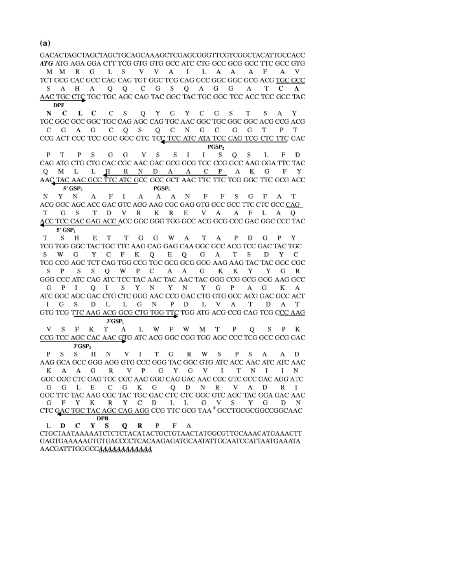GACACTAGCTAGCTAGCTGCAGCAAAGCTCGAGCGGGTTCGTCGGCTACATTGCCACC ATG ATG AGA GGA CTT TCG GTG GTG GCC ATC CTG GCC GCG GCC TTC GCC GTG MMRGLS V V A I L A A A F A V TCT GCG CAC GCC CAG CAG TGT GGC TCG CAG GCC GGC GGC GCG ACG TGC GCC S A H A Q Q C G S Q A G G A T C A AAC TGC CTC TGC TGC AGC CAG TAC GGC TAC TGC GGC TCC ACC TCC GCC TAC **DPF** 

 $N$   $C$ LCCS Q Y G Y C G S T S A Y TGC GGC GCC GGC TGC CAG AGC CAG TGC AAC GGC TGC GGC GGC ACG CCG ACG C G A G C Q S Q C N G C G G T P T CCG ACT CCC TCC GGC GGC GTG TCC TCC ATC ATA TCC CAG TCG CTC TTC GAC  $PGSP<sub>2</sub>$ 

G G V S S I  $P$  T P S F D  $I$  SQS  $\mathbf{L}$ CAG ATG CTG CTG CAC CGC AAC GAC GCG GCG TGC CCG GCC AAG GGA TTC TAC O M L L H R N D A A C P A K G F Y AAC TAC AAC GCC TTC ATC GCC GCC GCT AAC TTC TTC TCG GGC TTC GCG ACC 5' GSP<sub>2</sub>

 $PGSP<sub>1</sub>$ NY NAFIA AAN F F S G F A T ACG GGC AGC ACC GAC GTC AGG AAG CGC GAG GTG GCC GCC TTC CTC GCC CAG T G S T D V R K R E V A A F L A Q ACC TCC CAC GAG ACC ACC GGC GGG TGG GCC ACG GCG CCC GAC GGC CCC TAC  $5'$  GSP<sub>1</sub>

T S H ETTGGWATAPDGPY TCG TGG GGC TAC TGC TTC AAG CAG GAG CAA GGC GCC ACG TCC GAC TAC TGC S W G Y C F K Q E Q G A T S D Y C TCG CCG AGC TCT CAG TGG CCG TGC GCG GCG GGG AAG AAG TAC TAC GGC CGC SP SSQ W P C A A G K K Y Y G R GGG CCC ATC CAG ATC TCC TAC AAC TAC AAC TAC GGG CCG GCG GGG AAG GCC G P I Q I S Y N Y N Y G P A G K A ATC GGC AGC GAC CTG CTC GGG AAC CCG GAC CTG GTG GCC ACG GAC GCC ACT I G S D L L G N P D L V A T D A T GTG TCG TTC AAG ACG GCG CTG TGG TTC TGG ATG ACG CCG CAG TCG CCC AAG  $3'GSP_1$ 

V S F K T A L W F W M T P O S P K CCG TCC AGC CAC AAC GTG ATC ACG GGC CGG TGG AGC CCC TCG GCC GCG GAC  $3'GSP<sub>2</sub>$ 

PSS HN VITGRWS P S A A D AAG GCA GCC GGG AGG GTG CCC GGG TAC GGC GTG ATC ACC AAC ATC ATC AAC KAAG R V P G Y G V I T N I I N GGC GGG CTC GAG TGC GGC AAG GGG CAG GAC AAC CGC GTC GCC GAC AGG ATC G G L E C G K G O D N R V A D R I GGC TTC TAC AAG CGC TAC TGC GAC CTC CTC GGC GTC AGC TAC GGA GAC AAC G F Y K R Y C D L L G V S Y G D N CTC GAC TGC TAC AGC CAG AGG CCG TTC GCG TAA<sup>\*</sup> GCCTGCGGGGCGGCAAC **DPR** 

L D C Y S  $O$  R P F A CTGCTAATAAAAATCTCTCTACATACTGCTGTAACTATGGCGTTGCAAACATGAAACTT GAGTGAAAAAGTGTGACCCCTCACAAGAGATGCAATATTGCAATCCATTAATGAAATA AACGATTTGGGCCAAAAAAAAAAAA

 $(a)$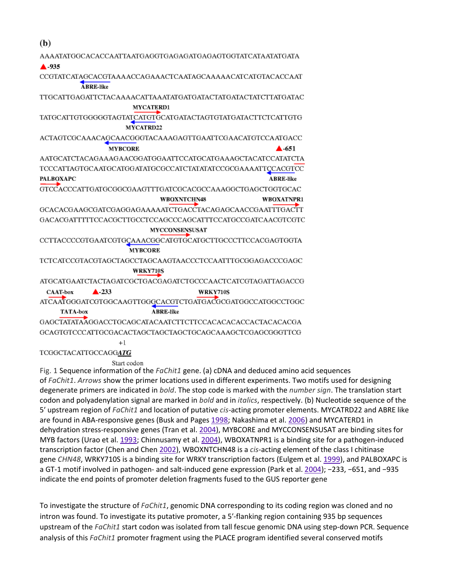| (b)                                                      |                       |                       |                                                                      |
|----------------------------------------------------------|-----------------------|-----------------------|----------------------------------------------------------------------|
|                                                          |                       |                       | AAAATATGGCACACCAATTAATGAGGTGAGAGATGAGAGTGGTATCATAATATGATA            |
| ▲ -935                                                   |                       |                       |                                                                      |
|                                                          |                       |                       | CCGTATCATAGCACGTAAAACCAGAAACTCAATAGCAAAAACATCATGTACACCAAT            |
|                                                          | <b>ABRE-like</b>      |                       |                                                                      |
|                                                          |                       |                       | TTGCATTGAGATTCTACAAAACATTAAATATGATGATACTATGATACTATCTTATGATAC         |
|                                                          |                       | <b>MYCATERD1</b>      |                                                                      |
|                                                          |                       |                       | TATGCATTGTGGGGGTAGTATCATGTGCATGATACTAGTGTATGATACTTCTCATTGTG          |
|                                                          |                       | <b>MYCATRD22</b>      |                                                                      |
|                                                          |                       |                       | ACTAGTCGCAAACAGCAACGGGTACAAAGAGTTGAATTCGAACATGTCCAATGACC             |
|                                                          | <b>MYBCORE</b>        |                       | $\blacktriangle$ -651                                                |
|                                                          |                       |                       | AATGCATCTACAGAAAGAACGGATGGAATTCCATGCATGAAAGCTACATCCATATCTA           |
|                                                          |                       |                       | TCCCATTAGTGCAATGCATGGATATGCGCCATCTATATATCCGCGAAAATTCCACGTCC          |
| <b>PALBOXAPC</b>                                         |                       |                       | <b>ABRE-like</b>                                                     |
|                                                          |                       |                       | GTCCACCCATTGATGCGGCGAAGTTTGATCGCACGCCAAAGGCTGAGCTGGTGCAC             |
|                                                          |                       | <b>WBOXNTCHN48</b>    | <b>WBOXATNPR1</b>                                                    |
|                                                          |                       |                       | GCACACGAAGCGATCGAGGAGAAAAATCTGACCTACAGAGCAACCGAATTTGACTT             |
|                                                          |                       |                       | GACACGATTTTTCCACGCTTGCCTCCAGCCCAGCATTTCCATGCCGATCAACGTCGTC           |
|                                                          |                       | <b>MYCCONSENSUSAT</b> |                                                                      |
|                                                          |                       |                       | CCTTACCCCGTGAATCGTGCAAACGGCATGTGCATGCTTGCCCTTCCACGAGTGGTA            |
|                                                          |                       | <b>MYBCORE</b>        |                                                                      |
|                                                          |                       |                       | TCTCATCCGTACGTAGCTAGCCTAGCAAGTAACCCTCCAATTTGCGGAGACCCGAGC            |
|                                                          |                       | <b>WRKY710S</b>       |                                                                      |
|                                                          |                       |                       | ATGCATGA ATCTA CTA GATCGCTGA CGA GATCTGCCCA A CTC ATCGTA GATTA GACCG |
| <b>CAAT-box</b>                                          | $\blacktriangle$ -233 |                       | <b>WRKY710S</b>                                                      |
|                                                          |                       |                       | ATCAATGGGATCGTGGCAAGTTGGGCACGTCTGATGACGCGATGGCCATGGCCTGGC            |
| <b>TATA-box</b>                                          |                       | <b>ABRE-like</b>      |                                                                      |
|                                                          |                       |                       | GAGCTATATAÁGGACCTGCAGCATACAATCTTCTTCCACACACACCACTACACACGA            |
| GCAGTGTCCCATTGCGACACTAGCTAGCTAGCTGCAGCAAAGCTCGAGCGGGTTCG |                       |                       |                                                                      |
|                                                          | $^{+1}$               |                       |                                                                      |
| TCGGCTACATTGCCAGGA <b>TG</b>                             |                       |                       |                                                                      |
|                                                          | Start codon           |                       |                                                                      |

Fig. 1 Sequence information of the *FaChit1* gene. (a) cDNA and deduced amino acid sequences of *FaChit1*. *Arrows* show the primer locations used in different experiments. Two motifs used for designing degenerate primers are indicated in *bold*. The stop code is marked with the *number sign*. The translation start codon and polyadenylation signal are marked in *bold* and in *italics*, respectively. (b) Nucleotide sequence of the 5′ upstream region of *FaChit1* and location of putative *cis*-acting promoter elements. MYCATRD22 and ABRE like are found in ABA-responsive genes (Busk and Pages [1998;](https://link.springer.com/article/10.1007%2Fs11105-008-0086-8#CR6) Nakashima et al. [2006](https://link.springer.com/article/10.1007%2Fs11105-008-0086-8#CR27)) and MYCATERD1 in dehydration stress-responsive genes (Tran et al. [2004\)](https://link.springer.com/article/10.1007%2Fs11105-008-0086-8#CR42), MYBCORE and MYCCONSENSUSAT are binding sites for MYB factors (Urao et al. [1993;](https://link.springer.com/article/10.1007%2Fs11105-008-0086-8#CR43) Chinnusamy et al. [2004\)](https://link.springer.com/article/10.1007%2Fs11105-008-0086-8#CR10), WBOXATNPR1 is a binding site for a pathogen-induced transcription factor (Chen and Chen [2002\)](https://link.springer.com/article/10.1007%2Fs11105-008-0086-8#CR8), WBOXNTCHN48 is a *cis*-acting element of the class I chitinase gene *CHN48*, WRKY710S is a binding site for WRKY transcription factors (Eulgem et al. [1999\)](https://link.springer.com/article/10.1007%2Fs11105-008-0086-8#CR13), and PALBOXAPC is a GT-1 motif involved in pathogen- and salt-induced gene expression (Park et al. [2004](https://link.springer.com/article/10.1007%2Fs11105-008-0086-8#CR29)); −233, −651, and −935 indicate the end points of promoter deletion fragments fused to the GUS reporter gene

To investigate the structure of *FaChit1*, genomic DNA corresponding to its coding region was cloned and no intron was found. To investigate its putative promoter, a 5′-flanking region containing 935 bp sequences upstream of the *FaChit1* start codon was isolated from tall fescue genomic DNA using step-down PCR. Sequence analysis of this *FaChit1* promoter fragment using the PLACE program identified several conserved motifs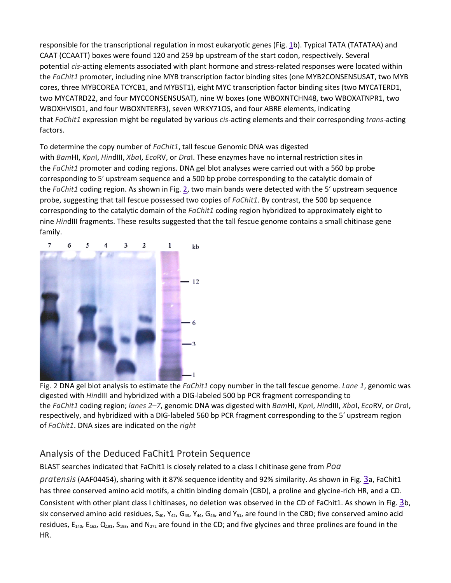responsible for the transcriptional regulation in most eukaryotic genes (Fig. [1b](https://link.springer.com/article/10.1007%2Fs11105-008-0086-8#Fig1)). Typical TATA (TATATAA) and CAAT (CCAATT) boxes were found 120 and 259 bp upstream of the start codon, respectively. Several potential *cis*-acting elements associated with plant hormone and stress-related responses were located within the *FaChit1* promoter, including nine MYB transcription factor binding sites (one MYB2CONSENSUSAT, two MYB cores, three MYBCOREA TCYCB1, and MYBST1), eight MYC transcription factor binding sites (two MYCATERD1, two MYCATRD22, and four MYCCONSENSUSAT), nine W boxes (one WBOXNTCHN48, two WBOXATNPR1, two WBOXHVISO1, and four WBOXNTERF3), seven WRKY71OS, and four ABRE elements, indicating that *FaChit1* expression might be regulated by various *cis*-acting elements and their corresponding *trans*-acting factors.

To determine the copy number of *FaChit1*, tall fescue Genomic DNA was digested with *Bam*HI, *Kpn*I, *Hin*dIII, *Xba*I, *Eco*RV, or *Dra*I. These enzymes have no internal restriction sites in the *FaChit1* promoter and coding regions. DNA gel blot analyses were carried out with a 560 bp probe corresponding to 5′ upstream sequence and a 500 bp probe corresponding to the catalytic domain of the *FaChit1* coding region. As shown in Fig. [2](https://link.springer.com/article/10.1007%2Fs11105-008-0086-8#Fig2), two main bands were detected with the 5′ upstream sequence probe, suggesting that tall fescue possessed two copies of *FaChit1*. By contrast, the 500 bp sequence corresponding to the catalytic domain of the *FaChit1* coding region hybridized to approximately eight to nine *Hin*dIII fragments. These results suggested that the tall fescue genome contains a small chitinase gene family.



Fig. 2 DNA gel blot analysis to estimate the *FaChit1* copy number in the tall fescue genome. *Lane 1*, genomic was digested with *Hin*dIII and hybridized with a DIG-labeled 500 bp PCR fragment corresponding to the *FaChit1* coding region; *lanes 2–7*, genomic DNA was digested with *Bam*HI, *Kpn*I, *Hin*dIII, *Xba*I, *Eco*RV, or *Dra*I, respectively, and hybridized with a DIG-labeled 560 bp PCR fragment corresponding to the 5′ upstream region of *FaChit1*. DNA sizes are indicated on the *right*

## Analysis of the Deduced FaChit1 Protein Sequence

BLAST searches indicated that FaChit1 is closely related to a class I chitinase gene from *Poa pratensis*(AAF04454), sharing with it 87% sequence identity and 92% similarity. As shown in Fig. [3a](https://link.springer.com/article/10.1007%2Fs11105-008-0086-8#Fig3), FaChit1 has three conserved amino acid motifs, a chitin binding domain (CBD), a proline and glycine-rich HR, and a CD. Consistent with other plant class I chitinases, no deletion was observed in the CD of FaChit1. As shown in Fig. [3b](https://link.springer.com/article/10.1007%2Fs11105-008-0086-8#Fig3), six conserved amino acid residues,  $S_{40}$ ,  $Y_{42}$ ,  $G_{43}$ ,  $Y_{44}$ ,  $G_{46}$ , and  $Y_{51}$ , are found in the CBD; five conserved amino acid residues,  $E_{140}$ ,  $E_{162}$ ,  $Q_{191}$ ,  $S_{193}$ , and  $N_{272}$  are found in the CD; and five glycines and three prolines are found in the HR.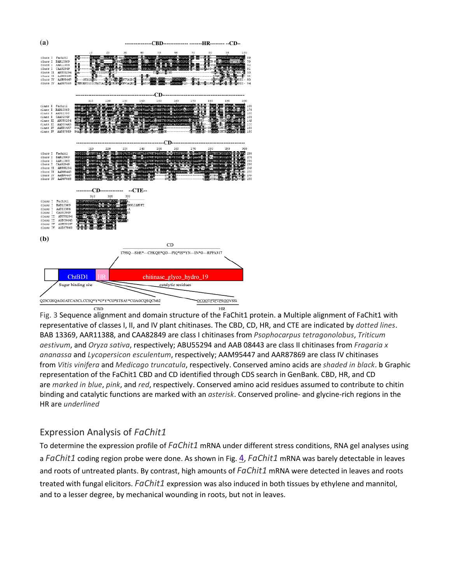

Fig. 3 Sequence alignment and domain structure of the FaChit1 protein. **a** Multiple alignment of FaChit1 with representative of classes I, II, and IV plant chitinases. The CBD, CD, HR, and CTE are indicated by *dotted lines*. BAB 13369, AAR11388, and CAA82849 are class I chitinases from *Psophocarpus tetragonolobus*, *Triticum aestivum*, and *Oryza sativa*, respectively; ABU55294 and AAB 08443 are class II chitinases from *Fragaria x ananassa* and *Lycopersicon esculentum*, respectively; AAM95447 and AAR87869 are class IV chitinases from *Vitis vinifera* and *Medicago truncatula*, respectively. Conserved amino acids are *shaded in black*. **b** Graphic representation of the FaChit1 CBD and CD identified through CDS search in GenBank. CBD, HR, and CD are *marked in blue*, *pink*, and *red*, respectively. Conserved amino acid residues assumed to contribute to chitin binding and catalytic functions are marked with an *asterisk*. Conserved proline- and glycine-rich regions in the HR are *underlined*

## Expression Analysis of *FaChit1*

To determine the expression profile of *FaChit1* mRNA under different stress conditions, RNA gel analyses using a *FaChit1* coding region probe were done. As shown in Fig. [4,](https://link.springer.com/article/10.1007%2Fs11105-008-0086-8#Fig4) *FaChit1* mRNA was barely detectable in leaves and roots of untreated plants. By contrast, high amounts of *FaChit1* mRNA were detected in leaves and roots treated with fungal elicitors. *FaChit1* expression was also induced in both tissues by ethylene and mannitol, and to a lesser degree, by mechanical wounding in roots, but not in leaves.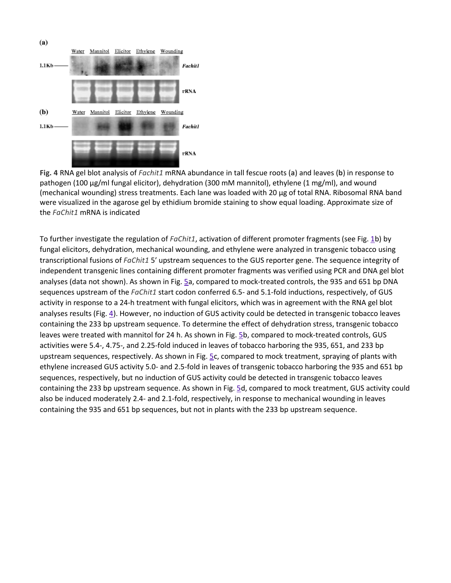

**Fig. 4** RNA gel blot analysis of *Fachit1* mRNA abundance in tall fescue roots (**a**) and leaves (**b**) in response to pathogen (100 μg/ml fungal elicitor), dehydration (300 mM mannitol), ethylene (1 mg/ml), and wound (mechanical wounding) stress treatments. Each lane was loaded with 20 μg of total RNA. Ribosomal RNA band were visualized in the agarose gel by ethidium bromide staining to show equal loading. Approximate size of the *FaChit1* mRNA is indicated

To further investigate the regulation of *FaChit1*, activation of different promoter fragments (see Fig. [1b](https://link.springer.com/article/10.1007%2Fs11105-008-0086-8#Fig1)) by fungal elicitors, dehydration, mechanical wounding, and ethylene were analyzed in transgenic tobacco using transcriptional fusions of *FaChit1* 5′ upstream sequences to the GUS reporter gene. The sequence integrity of independent transgenic lines containing different promoter fragments was verified using PCR and DNA gel blot analyses (data not shown). As shown in Fig. [5a](https://link.springer.com/article/10.1007%2Fs11105-008-0086-8#Fig5), compared to mock-treated controls, the 935 and 651 bp DNA sequences upstream of the *FaChit1* start codon conferred 6.5- and 5.1-fold inductions, respectively, of GUS activity in response to a 24-h treatment with fungal elicitors, which was in agreement with the RNA gel blot analyses results (Fig. [4\)](https://link.springer.com/article/10.1007%2Fs11105-008-0086-8#Fig4). However, no induction of GUS activity could be detected in transgenic tobacco leaves containing the 233 bp upstream sequence. To determine the effect of dehydration stress, transgenic tobacco leaves were treated with mannitol for 24 h. As shown in Fig. [5b](https://link.springer.com/article/10.1007%2Fs11105-008-0086-8#Fig5), compared to mock-treated controls, GUS activities were 5.4-, 4.75-, and 2.25-fold induced in leaves of tobacco harboring the 935, 651, and 233 bp upstream sequences, respectively. As shown in Fig. [5c](https://link.springer.com/article/10.1007%2Fs11105-008-0086-8#Fig5), compared to mock treatment, spraying of plants with ethylene increased GUS activity 5.0- and 2.5-fold in leaves of transgenic tobacco harboring the 935 and 651 bp sequences, respectively, but no induction of GUS activity could be detected in transgenic tobacco leaves containing the 233 bp upstream sequence. As shown in Fig. [5d](https://link.springer.com/article/10.1007%2Fs11105-008-0086-8#Fig5), compared to mock treatment, GUS activity could also be induced moderately 2.4- and 2.1-fold, respectively, in response to mechanical wounding in leaves containing the 935 and 651 bp sequences, but not in plants with the 233 bp upstream sequence.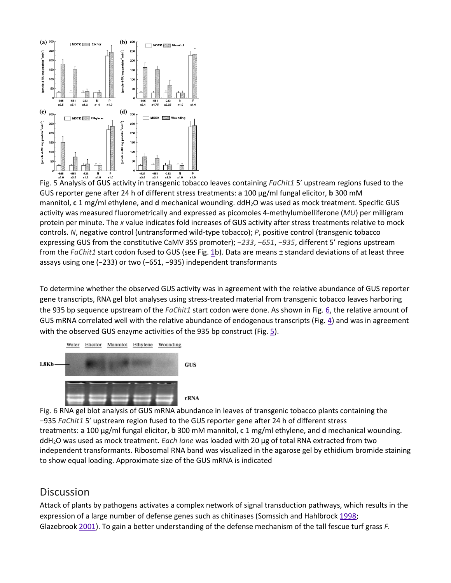

Fig. 5 Analysis of GUS activity in transgenic tobacco leaves containing *FaChit1* 5' upstream regions fused to the GUS reporter gene after 24 h of different stress treatments: **a** 100 μg/ml fungal elicitor, **b** 300 mM mannitol, **c** 1 mg/ml ethylene, and **d** mechanical wounding. ddH2O was used as mock treatment. Specific GUS activity was measured fluorometrically and expressed as picomoles 4-methylumbelliferone (*MU*) per milligram protein per minute. The *x* value indicates fold increases of GUS activity after stress treatments relative to mock controls. *N*, negative control (untransformed wild-type tobacco); *P*, positive control (transgenic tobacco expressing GUS from the constitutive CaMV 35S promoter); *−233*, *−651*, *−935*, different 5′ regions upstream from the *FaChit1* start codon fused to GUS (see Fig. [1b](https://link.springer.com/article/10.1007%2Fs11105-008-0086-8#Fig1)). Data are means ± standard deviations of at least three assays using one (−233) or two (−651, −935) independent transformants

To determine whether the observed GUS activity was in agreement with the relative abundance of GUS reporter gene transcripts, RNA gel blot analyses using stress-treated material from transgenic tobacco leaves harboring the 935 bp sequence upstream of the *FaChit1* start codon were done. As shown in Fig. [6](https://link.springer.com/article/10.1007%2Fs11105-008-0086-8#Fig6), the relative amount of GUS mRNA correlated well with the relative abundance of endogenous transcripts (Fig. [4\)](https://link.springer.com/article/10.1007%2Fs11105-008-0086-8#Fig4) and was in agreement with the observed GUS enzyme activities of the 935 bp construct (Fig. [5\)](https://link.springer.com/article/10.1007%2Fs11105-008-0086-8#Fig5).





Fig. 6 RNA gel blot analysis of GUS mRNA abundance in leaves of transgenic tobacco plants containing the −935 *FaChit1* 5′ upstream region fused to the GUS reporter gene after 24 h of different stress treatments: **a** 100 μg/ml fungal elicitor, **b** 300 mM mannitol, **c** 1 mg/ml ethylene, and **d** mechanical wounding. ddH2O was used as mock treatment. *Each lane* was loaded with 20 μg of total RNA extracted from two independent transformants. Ribosomal RNA band was visualized in the agarose gel by ethidium bromide staining to show equal loading. Approximate size of the GUS mRNA is indicated

## **Discussion**

Attack of plants by pathogens activates a complex network of signal transduction pathways, which results in the expression of a large number of defense genes such as chitinases (Somssich and Hahlbrock [1998;](https://link.springer.com/article/10.1007%2Fs11105-008-0086-8#CR37) Glazebrook [2001\)](https://link.springer.com/article/10.1007%2Fs11105-008-0086-8#CR16). To gain a better understanding of the defense mechanism of the tall fescue turf grass *F.*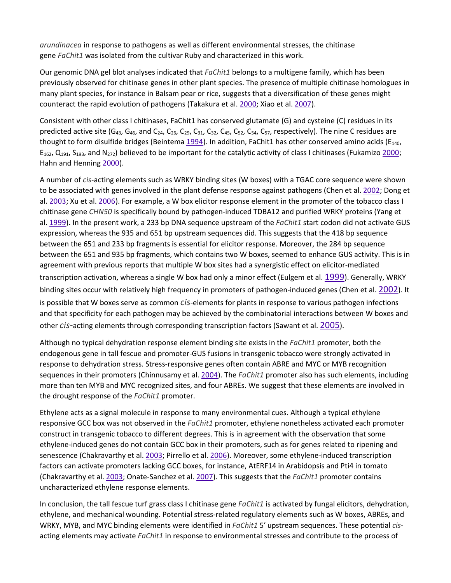*arundinacea* in response to pathogens as well as different environmental stresses, the chitinase gene *FaChit1* was isolated from the cultivar Ruby and characterized in this work.

Our genomic DNA gel blot analyses indicated that *FaChit1* belongs to a multigene family, which has been previously observed for chitinase genes in other plant species. The presence of multiple chitinase homologues in many plant species, for instance in Balsam pear or rice, suggests that a diversification of these genes might counteract the rapid evolution of pathogens (Takakura et al. [2000;](https://link.springer.com/article/10.1007%2Fs11105-008-0086-8#CR39) Xiao et al. [2007\)](https://link.springer.com/article/10.1007%2Fs11105-008-0086-8#CR45).

Consistent with other class I chitinases, FaChit1 has conserved glutamate (G) and cysteine (C) residues in its predicted active site (G<sub>43</sub>, G<sub>46</sub>, and C<sub>24</sub>, C<sub>26</sub>, C<sub>29</sub>, C<sub>31</sub>, C<sub>32</sub>, C<sub>45</sub>, C<sub>52</sub>, C<sub>54</sub>, C<sub>57</sub>, respectively). The nine C residues are thought to form disulfide bridges (Beintema [1994\)](https://link.springer.com/article/10.1007%2Fs11105-008-0086-8#CR2). In addition, FaChit1 has other conserved amino acids ( $E_{140}$ , E<sub>162</sub>, Q<sub>191</sub>, S<sub>193</sub>, and N<sub>272</sub>) believed to be important for the catalytic activity of class I chitinases (Fukamizo [2000;](https://link.springer.com/article/10.1007%2Fs11105-008-0086-8#CR15) Hahn and Henning [2000\)](https://link.springer.com/article/10.1007%2Fs11105-008-0086-8#CR18).

A number of *cis*-acting elements such as WRKY binding sites (W boxes) with a TGAC core sequence were shown to be associated with genes involved in the plant defense response against pathogens (Chen et al. [2002;](https://link.springer.com/article/10.1007%2Fs11105-008-0086-8#CR9) Dong et al. [2003;](https://link.springer.com/article/10.1007%2Fs11105-008-0086-8#CR12) Xu et al. [2006](https://link.springer.com/article/10.1007%2Fs11105-008-0086-8#CR46)). For example, a W box elicitor response element in the promoter of the tobacco class I chitinase gene *CHN50* is specifically bound by pathogen-induced TDBA12 and purified WRKY proteins (Yang et al. [1999\)](https://link.springer.com/article/10.1007%2Fs11105-008-0086-8#CR48). In the present work, a 233 bp DNA sequence upstream of the *FaChit1* start codon did not activate GUS expression, whereas the 935 and 651 bp upstream sequences did. This suggests that the 418 bp sequence between the 651 and 233 bp fragments is essential for elicitor response. Moreover, the 284 bp sequence between the 651 and 935 bp fragments, which contains two W boxes, seemed to enhance GUS activity. This is in agreement with previous reports that multiple W box sites had a synergistic effect on elicitor-mediated transcription activation, whereas a single W box had only a minor effect (Eulgem et al. [1999\)](https://link.springer.com/article/10.1007%2Fs11105-008-0086-8#CR13). Generally, WRKY binding sites occur with relatively high frequency in promoters of pathogen-induced genes (Chen et al. [2002\)](https://link.springer.com/article/10.1007%2Fs11105-008-0086-8#CR9). It is possible that W boxes serve as common *cis*-elements for plants in response to various pathogen infections and that specificity for each pathogen may be achieved by the combinatorial interactions between W boxes and other *cis-*acting elements through corresponding transcription factors (Sawant et al. [2005\)](https://link.springer.com/article/10.1007%2Fs11105-008-0086-8#CR35).

Although no typical dehydration response element binding site exists in the *FaChit1* promoter, both the endogenous gene in tall fescue and promoter-GUS fusions in transgenic tobacco were strongly activated in response to dehydration stress. Stress-responsive genes often contain ABRE and MYC or MYB recognition sequences in their promoters (Chinnusamy et al. [2004\)](https://link.springer.com/article/10.1007%2Fs11105-008-0086-8#CR10). The *FaChit1* promoter also has such elements, including more than ten MYB and MYC recognized sites, and four ABREs. We suggest that these elements are involved in the drought response of the *FaChit1* promoter.

Ethylene acts as a signal molecule in response to many environmental cues. Although a typical ethylene responsive GCC box was not observed in the *FaChit1* promoter, ethylene nonetheless activated each promoter construct in transgenic tobacco to different degrees. This is in agreement with the observation that some ethylene-induced genes do not contain GCC box in their promoters, such as for genes related to ripening and senescence (Chakravarthy et al. [2003;](https://link.springer.com/article/10.1007%2Fs11105-008-0086-8#CR7) Pirrello et al. [2006](https://link.springer.com/article/10.1007%2Fs11105-008-0086-8#CR30)). Moreover, some ethylene-induced transcription factors can activate promoters lacking GCC boxes, for instance, AtERF14 in Arabidopsis and Pti4 in tomato (Chakravarthy et al. [2003;](https://link.springer.com/article/10.1007%2Fs11105-008-0086-8#CR7) Onate-Sanchez et al. [2007\)](https://link.springer.com/article/10.1007%2Fs11105-008-0086-8#CR28). This suggests that the *FaChit1* promoter contains uncharacterized ethylene response elements.

In conclusion, the tall fescue turf grass class I chitinase gene *FaChit1* is activated by fungal elicitors, dehydration, ethylene, and mechanical wounding. Potential stress-related regulatory elements such as W boxes, ABREs, and WRKY, MYB, and MYC binding elements were identified in *FaChit1* 5′ upstream sequences. These potential *cis*acting elements may activate *FaChit1* in response to environmental stresses and contribute to the process of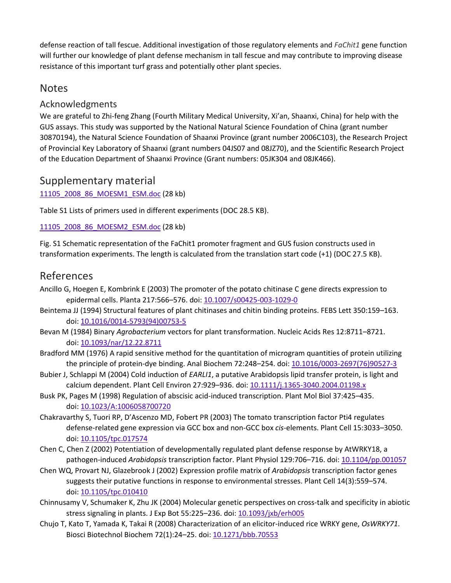defense reaction of tall fescue. Additional investigation of those regulatory elements and *FaChit1* gene function will further our knowledge of plant defense mechanism in tall fescue and may contribute to improving disease resistance of this important turf grass and potentially other plant species.

## **Notes**

## Acknowledgments

We are grateful to Zhi-feng Zhang (Fourth Military Medical University, Xi'an, Shaanxi, China) for help with the GUS assays. This study was supported by the National Natural Science Foundation of China (grant number 30870194), the Natural Science Foundation of Shaanxi Province (grant number 2006C103), the Research Project of Provincial Key Laboratory of Shaanxi (grant numbers 04JS07 and 08JZ70), and the Scientific Research Project of the Education Department of Shaanxi Province (Grant numbers: 05JK304 and 08JK466).

## Supplementary material

[11105\\_2008\\_86\\_MOESM1\\_ESM.doc](https://static-content.springer.com/esm/art%3A10.1007%2Fs11105-008-0086-8/MediaObjects/11105_2008_86_MOESM1_ESM.doc) (28 kb)

Table S1 Lists of primers used in different experiments (DOC 28.5 KB).

#### [11105\\_2008\\_86\\_MOESM2\\_ESM.doc](https://static-content.springer.com/esm/art%3A10.1007%2Fs11105-008-0086-8/MediaObjects/11105_2008_86_MOESM2_ESM.doc) (28 kb)

Fig. S1 Schematic representation of the FaChit1 promoter fragment and GUS fusion constructs used in transformation experiments. The length is calculated from the translation start code (+1) (DOC 27.5 KB).

## References

- Ancillo G, Hoegen E, Kombrink E (2003) The promoter of the potato chitinase C gene directs expression to epidermal cells. Planta 217:566-576. doi: [10.1007/s00425-003-1029-0](https://doi.org/10.1007/s00425-003-1029-0)
- Beintema JJ (1994) Structural features of plant chitinases and chitin binding proteins. FEBS Lett 350:159–163. doi: 10.1016/0014[-5793\(94\)00753-5](https://doi.org/10.1016/0014-5793(94)00753-5)
- Bevan M (1984) Binary *Agrobacterium* vectors for plant transformation. Nucleic Acids Res 12:8711–8721. doi: [10.1093/nar/12.22.8711](https://doi.org/10.1093/nar/12.22.8711)
- Bradford MM (1976) A rapid sensitive method for the quantitation of microgram quantities of protein utilizing the principle of protein-dye binding. Anal Biochem 72:248-254. doi: 10.1016/0003-[2697\(76\)90527](https://doi.org/10.1016/0003-2697(76)90527-3)-3
- Bubier J, Schlappi M (2004) Cold induction of *EARLI1*, a putative Arabidopsis lipid transfer protein, is light and calcium dependent. Plant Cell Environ 27:929–936. doi: 10.1111/j.1365[-3040.2004.01198.x](https://doi.org/10.1111/j.1365-3040.2004.01198.x)
- Busk PK, Pages M (1998) Regulation of abscisic acid-induced transcription. Plant Mol Biol 37:425–435. doi: 10.1023/A:1[006058700720](https://doi.org/10.1023/A%3A1006058700720)
- Chakravarthy S, Tuori RP, D'Ascenzo MD, Fobert PR (2003) The tomato transcription factor Pti4 regulates defense-related gene expression via GCC box and non-GCC box *cis*-elements. Plant Cell 15:3033–3050. doi: [10.1105/tpc.017574](https://doi.org/10.1105/tpc.017574)
- Chen C, Chen Z (2002) Potentiation of developmentally regulated plant defense response by AtWRKY18, a pathogen-induced *Arabidopsis* transcription factor. Plant Physiol 129:706–716. doi: [10.1104/pp.001057](https://doi.org/10.1104/pp.001057)
- Chen WQ, Provart NJ, Glazebrook J (2002) Expression profile matrix of *Arabidopsis* transcription factor genes suggests their putative functions in response to environmental stresses. Plant Cell 14(3):559–574. doi: [10.1105/tpc.010410](https://doi.org/10.1105/tpc.010410)
- Chinnusamy V, Schumaker K, Zhu JK (2004) Molecular genetic perspectives on cross-talk and specificity in abiotic stress signaling in plants. J Exp Bot 55:225–236. doi: [10.1093/jxb/erh005](https://doi.org/10.1093/jxb/erh005)
- Chujo T, Kato T, Yamada K, Takai R (2008) Characterization of an elicitor-induced rice WRKY gene, *OsWRKY71*. Biosci Biotechnol Biochem 72(1):24–25. doi: [10.1271/bbb.70553](https://doi.org/10.1271/bbb.70553)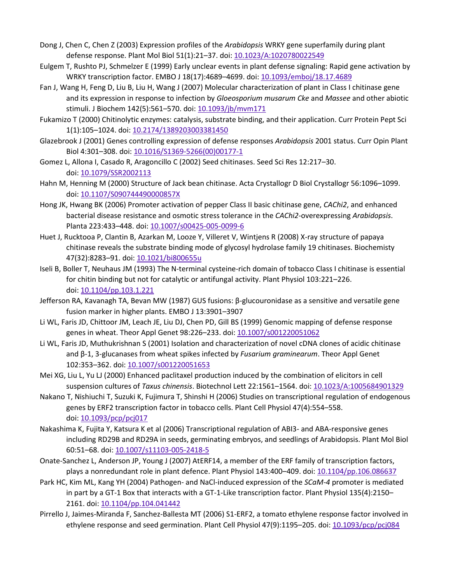- Dong J, Chen C, Chen Z (2003) Expression profiles of the *Arabidopsis* WRKY gene superfamily during plant defense response. Plant Mol Biol 51(1):21–37. doi: [10.1023/A:1020780022549](https://doi.org/10.1023/A%3A1020780022549)
- Eulgem T, Rushto PJ, Schmelzer E (1999) Early unclear events in plant defense signaling: Rapid gene activation by WRKY transcription factor. EMBO J 18(17):4689-4699. doi: [10.1093/emboj/18.17.4689](https://doi.org/10.1093/emboj/18.17.4689)
- Fan J, Wang H, Feng D, Liu B, Liu H, Wang J (2007) Molecular characterization of plant in Class I chitinase gene and its expression in response to infection by *Gloeosporium musarum Cke* and *Massee* and other abiotic stimuli. J Biochem 142(5):561-570. doi: [10.1093/jb/mvm171](https://doi.org/10.1093/jb/mvm171)
- Fukamizo T (2000) Chitinolytic enzymes: catalysis, substrate binding, and their application. Curr Protein Pept Sci 1(1):105–1024. doi: [10.2174/1389203003381450](https://doi.org/10.2174/1389203003381450)
- Glazebrook J (2001) Genes controlling expression of defense responses *Arabidopsis* 2001 status. Curr Opin Plant Biol 4:301–308. doi: 10.1016/S1369-[5266\(00\)00177](https://doi.org/10.1016/S1369-5266(00)00177-1)-1
- Gomez L, Allona I, Casado R, Aragoncillo C (2002) Seed chitinases. Seed Sci Res 12:217–30. doi: [10.1079/SSR2002113](https://doi.org/10.1079/SSR2002113)
- Hahn M, Henning M (2000) Structure of Jack bean chitinase. Acta Crystallogr D Biol Crystallogr 56:1096–1099. doi: [10.1107/S090744490000857X](https://doi.org/10.1107/S090744490000857X)
- Hong JK, Hwang BK (2006) Promoter activation of pepper Class II basic chitinase gene, *CAChi2*, and enhanced bacterial disease resistance and osmotic stress tolerance in the *CAChi2*-overexpressing *Arabidopsis*. Planta 223:433–448. doi: [10.1007/s00425-005-0099-](https://doi.org/10.1007/s00425-005-0099-6)6
- Huet J, Rucktooa P, Clantin B, Azarkan M, Looze Y, Villeret V, Wintjens R (2008) X-ray structure of papaya chitinase reveals the substrate binding mode of glycosyl hydrolase family 19 chitinases. Biochemisty 47(32):8283–91. doi: [10.1021/bi800655u](https://doi.org/10.1021/bi800655u)
- Iseli B, Boller T, Neuhaus JM (1993) The N-terminal cysteine-rich domain of tobacco Class I chitinase is essential for chitin binding but not for catalytic or antifungal activity. Plant Physiol 103:221–226. doi: [10.1104/pp.103.1.221](https://doi.org/10.1104/pp.103.1.221)
- Jefferson RA, Kavanagh TA, Bevan MW (1987) GUS fusions: β-glucouronidase as a sensitive and versatile gene fusion marker in higher plants. EMBO J 13:3901–3907
- Li WL, Faris JD, Chittoor JM, Leach JE, Liu DJ, Chen PD, Gill BS (1999) Genomic mapping of defense response genes in wheat. Theor Appl Genet 98:226–233. doi: [10.1007/s001220051062](https://doi.org/10.1007/s001220051062)
- Li WL, Faris JD, Muthukrishnan S (2001) Isolation and characterization of novel cDNA clones of acidic chitinase and β-1, 3-glucanases from wheat spikes infected by *Fusarium graminearum*. Theor Appl Genet 102:353–362. doi: [10.1007/s001220051653](https://doi.org/10.1007/s001220051653)
- Mei XG, Liu L, Yu LJ (2000) Enhanced paclitaxel production induced by the combination of elicitors in cell suspension cultures of *Taxus chinensis*. Biotechnol Lett 22:1561–1564. doi: [10.1023/A:1005684901329](https://doi.org/10.1023/A%3A1005684901329)
- Nakano T, Nishiuchi T, Suzuki K, Fujimura T, Shinshi H (2006) Studies on transcriptional regulation of endogenous genes by ERF2 transcription factor in tobacco cells. Plant Cell Physiol 47(4):554–558. doi: [10.1093/pcp/pcj017](https://doi.org/10.1093/pcp/pcj017)
- Nakashima K, Fujita Y, Katsura K et al (2006) Transcriptional regulation of ABI3- and ABA-responsive genes including RD29B and RD29A in seeds, germinating embryos, and seedlings of Arabidopsis. Plant Mol Biol 60:51–68. doi: [10.1007/s11103-005-2418-5](https://doi.org/10.1007/s11103-005-2418-5)
- Onate-Sanchez L, Anderson JP, Young J (2007) AtERF14, a member of the ERF family of transcription factors, plays a nonredundant role in plant defence. Plant Physiol 143:400–409. doi: [10.1104/pp.106.086637](https://doi.org/10.1104/pp.106.086637)
- Park HC, Kim ML, Kang YH (2004) Pathogen- and NaCl-induced expression of the *SCaM-4* promoter is mediated in part by a GT-1 Box that interacts with a GT-1-Like transcription factor. Plant Physiol 135(4):2150– 2161. doi: [10.1104/pp.104.041442](https://doi.org/10.1104/pp.104.041442)
- Pirrello J, Jaimes-Miranda F, Sanchez-Ballesta MT (2006) S1-ERF2, a tomato ethylene response factor involved in ethylene response and seed germination. Plant Cell Physiol 47(9):1195-205. doi: [10.1093/pcp/pcj084](https://doi.org/10.1093/pcp/pcj084)